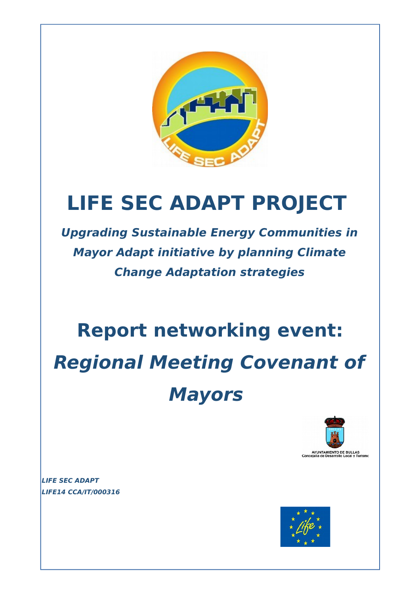

## **LIFE SEC ADAPT PROJECT**

**Upgrading Sustainable Energy Communities in Mayor Adapt initiative by planning Climate Change Adaptation strategies**

# **Report networking event: Regional Meeting Covenant of Mayors**



**LIFE SEC ADAPT LIFE14 CCA/IT/000316** 

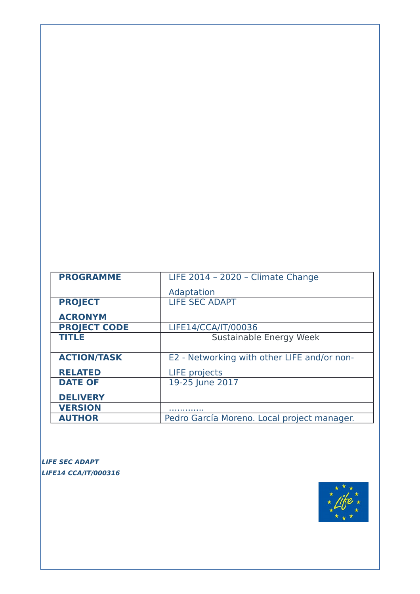| <b>PROGRAMME</b>    | LIFE 2014 - 2020 - Climate Change           |
|---------------------|---------------------------------------------|
|                     | Adaptation                                  |
| <b>PROJECT</b>      | <b>LIFE SEC ADAPT</b>                       |
| <b>ACRONYM</b>      |                                             |
| <b>PROJECT CODE</b> | LIFE14/CCA/IT/00036                         |
| <b>TITLE</b>        | Sustainable Energy Week                     |
|                     |                                             |
| <b>ACTION/TASK</b>  | E2 - Networking with other LIFE and/or non- |
| <b>RELATED</b>      | <b>LIFE</b> projects                        |
| <b>DATE OF</b>      | 19-25 June 2017                             |
| <b>DELIVERY</b>     |                                             |
| <b>VERSION</b>      |                                             |
| <b>AUTHOR</b>       | Pedro García Moreno. Local project manager. |

**LIFE SEC ADAPT LIFE14 CCA/IT/000316** 

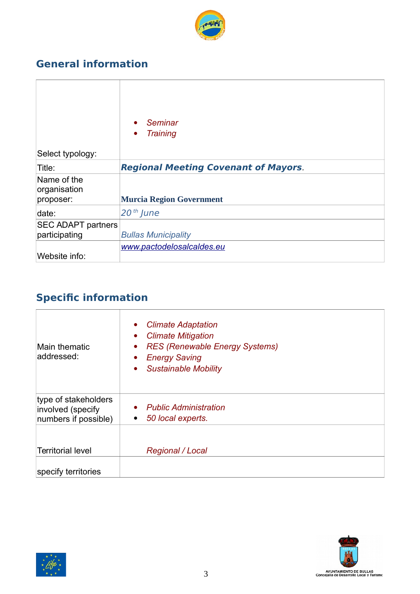

## **General information**

| Select typology:                         | Seminar<br><b>Training</b><br>$\bullet$     |
|------------------------------------------|---------------------------------------------|
| Title:                                   | <b>Regional Meeting Covenant of Mayors.</b> |
| Name of the<br>organisation<br>proposer: | <b>Murcia Region Government</b>             |
| date:                                    | $20th$ June                                 |
| <b>SEC ADAPT partners</b>                |                                             |
| participating                            | <b>Bullas Municipality</b>                  |
| Website info:                            | www.pactodelosalcaldes.eu                   |
|                                          |                                             |

## **Specific information**

| <b>RES (Renewable Energy Systems)</b><br>$\bullet$<br><b>Energy Saving</b><br>$\bullet$<br><b>Sustainable Mobility</b><br>$\bullet$ |
|-------------------------------------------------------------------------------------------------------------------------------------|
| <b>Public Administration</b><br>$\bullet$<br>50 local experts.<br>$\bullet$                                                         |
| <b>Regional / Local</b>                                                                                                             |
|                                                                                                                                     |